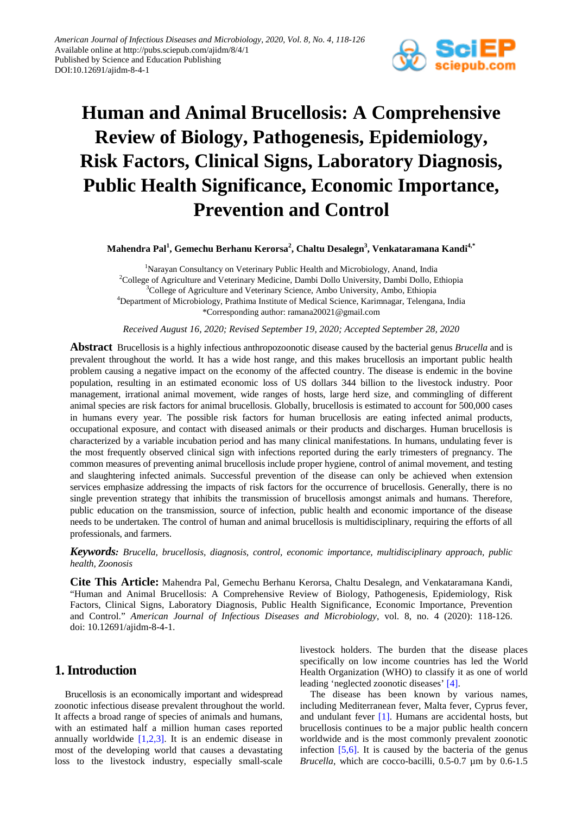

# **Human and Animal Brucellosis: A Comprehensive Review of Biology, Pathogenesis, Epidemiology, Risk Factors, Clinical Signs, Laboratory Diagnosis, Public Health Significance, Economic Importance, Prevention and Control**

**Mahendra Pal1 , Gemechu Berhanu Kerorsa<sup>2</sup> , Chaltu Desalegn3 , Venkataramana Kandi4,\***

<sup>1</sup>Narayan Consultancy on Veterinary Public Health and Microbiology, Anand, India <sup>2</sup>College of Agriculture and Veterinary Medicine, Dambi Dollo University, Dambi Dollo, Ethiopia <sup>3</sup>College of Agriculture and Veterinary Science, Ambo University, Ambo, Ethiopia 4 Department of Microbiology, Prathima Institute of Medical Science, Karimnagar, Telengana, India \*Corresponding author: ramana20021@gmail.com

*Received August 16, 2020; Revised September 19, 2020; Accepted September 28, 2020*

**Abstract** Brucellosis is a highly infectious anthropozoonotic disease caused by the bacterial genus *Brucella* and is prevalent throughout the world*.* It has a wide host range, and this makes brucellosis an important public health problem causing a negative impact on the economy of the affected country. The disease is endemic in the bovine population, resulting in an estimated economic loss of US dollars 344 billion to the livestock industry. Poor management, irrational animal movement, wide ranges of hosts, large herd size, and commingling of different animal species are risk factors for animal brucellosis. Globally, brucellosis is estimated to account for 500,000 cases in humans every year. The possible risk factors for human brucellosis are eating infected animal products, occupational exposure, and contact with diseased animals or their products and discharges. Human brucellosis is characterized by a variable incubation period and has many clinical manifestations. In humans, undulating fever is the most frequently observed clinical sign with infections reported during the early trimesters of pregnancy. The common measures of preventing animal brucellosis include proper hygiene, control of animal movement, and testing and slaughtering infected animals. Successful prevention of the disease can only be achieved when extension services emphasize addressing the impacts of risk factors for the occurrence of brucellosis. Generally, there is no single prevention strategy that inhibits the transmission of brucellosis amongst animals and humans. Therefore, public education on the transmission, source of infection, public health and economic importance of the disease needs to be undertaken. The control of human and animal brucellosis is multidisciplinary, requiring the efforts of all professionals, and farmers.

*Keywords: Brucella, brucellosis, diagnosis, control, economic importance, multidisciplinary approach, public health, Zoonosis*

**Cite This Article:** Mahendra Pal, Gemechu Berhanu Kerorsa, Chaltu Desalegn, and Venkataramana Kandi, "Human and Animal Brucellosis: A Comprehensive Review of Biology, Pathogenesis, Epidemiology, Risk Factors, Clinical Signs, Laboratory Diagnosis, Public Health Significance, Economic Importance, Prevention and Control." *American Journal of Infectious Diseases and Microbiology*, vol. 8, no. 4 (2020): 118-126. doi: 10.12691/ajidm-8-4-1.

# **1. Introduction**

Brucellosis is an economically important and widespread zoonotic infectious disease prevalent throughout the world. It affects a broad range of species of animals and humans, with an estimated half a million human cases reported annually worldwide  $[1,2,3]$ . It is an endemic disease in most of the developing world that causes a devastating loss to the livestock industry, especially small-scale

livestock holders. The burden that the disease places specifically on low income countries has led the World Health Organization (WHO) to classify it as one of world leading 'neglected zoonotic diseases' [\[4\].](#page-7-1)

The disease has been known by various names, including Mediterranean fever, Malta fever, Cyprus fever, and undulant fever [\[1\].](#page-7-0) Humans are accidental hosts, but brucellosis continues to be a major public health concern worldwide and is the most commonly prevalent zoonotic infection  $[5,6]$ . It is caused by the bacteria of the genus *Brucella*, which are cocco-bacilli, 0.5-0.7 µm by 0.6-1.5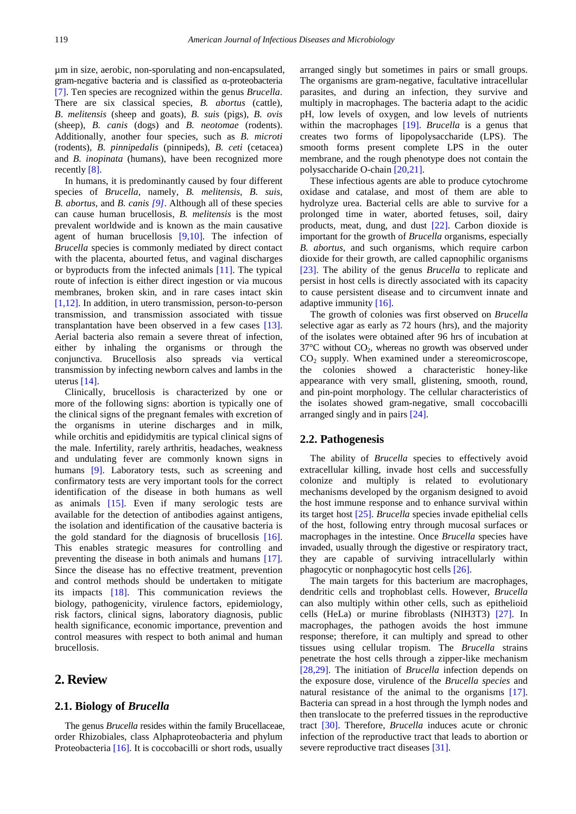µm in size, aerobic, non-sporulating and non-encapsulated, gram-negative bacteria and is classified as α-proteobacteria [\[7\].](#page-7-3) Ten species are recognized within the genus *Brucella*. There are six classical species, *B. abortus* (cattle), *B*. *melitensis* (sheep and goats), *B. suis* (pigs), *B. ovis*  (sheep), *B. canis* (dogs) and *B. neotomae* (rodents). Additionally, another four species, such as *B. microti*  (rodents), *B. pinnipedalis* (pinnipeds), *B. ceti* (cetacea) and *B. inopinata* (humans), have been recognized more recently [\[8\].](#page-7-4)

In humans, it is predominantly caused by four different species of *Brucella,* namely, *B. melitensis, B. suis, B. abortus,* and *B. canis [\[9\]](#page-7-5)*. Although all of these species can cause human brucellosis, *B. melitensis* is the most prevalent worldwide and is known as the main causative agent of human brucellosis [\[9,10\].](#page-7-5) The infection of *Brucella* species is commonly mediated by direct contact with the placenta, abourted fetus, and vaginal discharges or byproducts from the infected animals [\[11\].](#page-7-6) The typical route of infection is either direct ingestion or via mucous membranes, broken skin, and in rare cases intact skin [\[1,12\].](#page-7-0) In addition, in utero transmission, person-to-person transmission, and transmission associated with tissue transplantation have been observed in a few cases [\[13\].](#page-7-7) Aerial bacteria also remain a severe threat of infection, either by inhaling the organisms or through the conjunctiva. Brucellosis also spreads via vertical transmission by infecting newborn calves and lambs in the uterus [\[14\].](#page-7-8)

Clinically, brucellosis is characterized by one or more of the following signs: abortion is typically one of the clinical signs of the pregnant females with excretion of the organisms in uterine discharges and in milk, while orchitis and epididymitis are typical clinical signs of the male. Infertility, rarely arthritis, headaches, weakness and undulating fever are commonly known signs in humans [\[9\].](#page-7-5) Laboratory tests, such as screening and confirmatory tests are very important tools for the correct identification of the disease in both humans as well as animals [\[15\].](#page-7-9) Even if many serologic tests are available for the detection of antibodies against antigens, the isolation and identification of the causative bacteria is the gold standard for the diagnosis of brucellosis [\[16\].](#page-7-10) This enables strategic measures for controlling and preventing the disease in both animals and humans [\[17\].](#page-7-11) Since the disease has no effective treatment, prevention and control methods should be undertaken to mitigate its impacts [\[18\].](#page-7-12) This communication reviews the biology, pathogenicity, virulence factors, epidemiology, risk factors, clinical signs, laboratory diagnosis, public health significance, economic importance, prevention and control measures with respect to both animal and human brucellosis.

# **2. Review**

# **2.1. Biology of** *Brucella*

The genus *Brucella* resides within the family Brucellaceae, order Rhizobiales, class Alphaproteobacteria and phylum Proteobacteria [\[16\].](#page-7-10) It is coccobacilli or short rods, usually

arranged singly but sometimes in pairs or small groups. The organisms are gram-negative, facultative intracellular parasites, and during an infection, they survive and multiply in macrophages. The bacteria adapt to the acidic pH, low levels of oxygen, and low levels of nutrients within the macrophages [\[19\].](#page-7-13) *Brucella* is a genus that creates two forms of lipopolysaccharide (LPS). The smooth forms present complete LPS in the outer membrane, and the rough phenotype does not contain the polysaccharide O-chain [\[20,21\].](#page-7-14)

These infectious agents are able to produce cytochrome oxidase and catalase, and most of them are able to hydrolyze urea. Bacterial cells are able to survive for a prolonged time in water, aborted fetuses, soil, dairy products, meat, dung, and dust [\[22\].](#page-7-15) Carbon dioxide is important for the growth of *Brucella* organisms, especially *B. abortus*, and such organisms, which require carbon dioxide for their growth, are called capnophilic organisms [\[23\].](#page-7-16) The ability of the genus *Brucella* to replicate and persist in host cells is directly associated with its capacity to cause persistent disease and to circumvent innate and adaptive immunity [\[16\].](#page-7-10)

The growth of colonies was first observed on *Brucella* selective agar as early as 72 hours (hrs), and the majority of the isolates were obtained after 96 hrs of incubation at  $37^{\circ}$ C without  $CO<sub>2</sub>$ , whereas no growth was observed under  $CO<sub>2</sub>$  supply. When examined under a stereomicroscope, the colonies showed a characteristic honey-like appearance with very small, glistening, smooth, round, and pin-point morphology. The cellular characteristics of the isolates showed gram-negative, small coccobacilli arranged singly and in pairs [\[24\].](#page-7-17)

#### **2.2. Pathogenesis**

The ability of *Brucella* species to effectively avoid extracellular killing, invade host cells and successfully colonize and multiply is related to evolutionary mechanisms developed by the organism designed to avoid the host immune response and to enhance survival within its target host [\[25\].](#page-7-18) *Brucella* species invade epithelial cells of the host, following entry through mucosal surfaces or macrophages in the intestine. Once *Brucella* species have invaded, usually through the digestive or respiratory tract, they are capable of surviving intracellularly within phagocytic or nonphagocytic host cells [\[26\].](#page-7-19)

The main targets for this bacterium are macrophages, dendritic cells and trophoblast cells. However, *Brucella*  can also multiply within other cells, such as epithelioid cells (HeLa) or murine fibroblasts (NIH3T3) [\[27\].](#page-7-20) In macrophages, the pathogen avoids the host immune response; therefore, it can multiply and spread to other tissues using cellular tropism. The *Brucella* strains penetrate the host cells through a zipper-like mechanism [\[28,29\].](#page-7-21) The initiation of *Brucella* infection depends on the exposure dose, virulence of the *Brucella species* and natural resistance of the animal to the organisms [\[17\].](#page-7-11) Bacteria can spread in a host through the lymph nodes and then translocate to the preferred tissues in the reproductive tract [\[30\].](#page-7-22) Therefore, *Brucella* induces acute or chronic infection of the reproductive tract that leads to abortion or severe reproductive tract diseases [\[31\].](#page-7-23)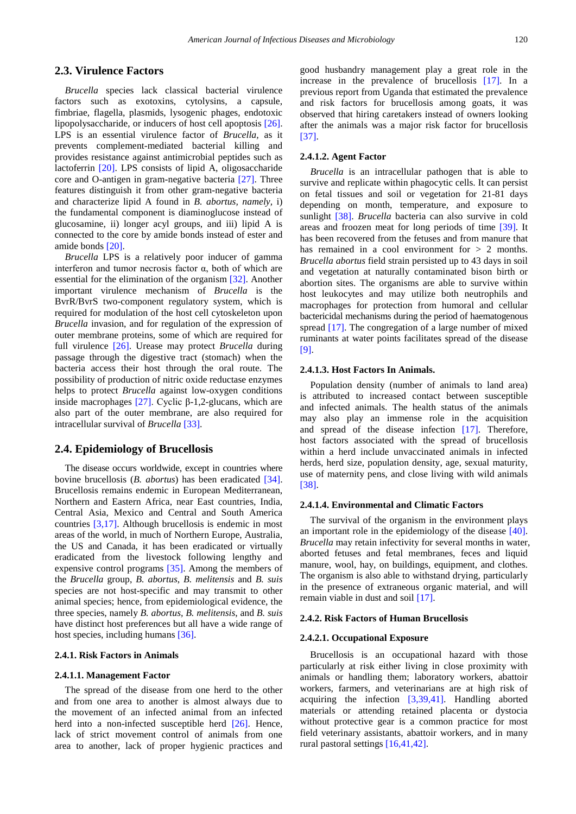### **2.3. Virulence Factors**

*Brucella* species lack classical bacterial virulence factors such as exotoxins, cytolysins, a capsule, fimbriae, flagella, plasmids, lysogenic phages, endotoxic lipopolysaccharide, or inducers of host cell apoptosis [\[26\].](#page-7-19) LPS is an essential virulence factor of *Brucella,* as it prevents complement-mediated bacterial killing and provides resistance against antimicrobial peptides such as lactoferrin [\[20\].](#page-7-14) LPS consists of lipid A, oligosaccharide core and O-antigen in gram-negative bacteria [\[27\].](#page-7-20) Three features distinguish it from other gram-negative bacteria and characterize lipid A found in *B. abortus, namely,* i) the fundamental component is diaminoglucose instead of glucosamine, ii) longer acyl groups, and iii) lipid A is connected to the core by amide bonds instead of ester and amide bonds [\[20\].](#page-7-14)

*Brucella* LPS is a relatively poor inducer of gamma interferon and tumor necrosis factor α, both of which are essential for the elimination of the organism [\[32\].](#page-7-24) Another important virulence mechanism of *Brucella* is the BvrR/BvrS two-component regulatory system, which is required for modulation of the host cell cytoskeleton upon *Brucella* invasion, and for regulation of the expression of outer membrane proteins, some of which are required for full virulence [\[26\].](#page-7-19) Urease may protect *Brucella* during passage through the digestive tract (stomach) when the bacteria access their host through the oral route. The possibility of production of nitric oxide reductase enzymes helps to protect *Brucella* against low-oxygen conditions inside macrophages [\[27\]](#page-7-20). Cyclic β-1,2-glucans, which are also part of the outer membrane, are also required for intracellular survival of *Brucella* [\[33\].](#page-7-25)

## **2.4. Epidemiology of Brucellosis**

The disease occurs worldwide, except in countries where bovine brucellosis (*B. abortus*) has been eradicated [\[34\].](#page-7-26) Brucellosis remains endemic in European Mediterranean, Northern and Eastern Africa, near East countries, India, Central Asia, Mexico and Central and South America countries [\[3,17\].](#page-7-27) Although brucellosis is endemic in most areas of the world, in much of Northern Europe, Australia, the US and Canada, it has been eradicated or virtually eradicated from the livestock following lengthy and expensive control programs [\[35\].](#page-7-28) Among the members of the *Brucella* group, *B. abortus*, *B. melitensis* and *B. suis*  species are not host-specific and may transmit to other animal species; hence, from epidemiological evidence, the three species, namely *B. abortus, B. melitensis*, and *B. suis* have distinct host preferences but all have a wide range of host species, including human[s \[36\].](#page-7-29)

#### **2.4.1. Risk Factors in Animals**

#### **2.4.1.1. Management Factor**

The spread of the disease from one herd to the other and from one area to another is almost always due to the movement of an infected animal from an infected herd into a non-infected susceptible herd [\[26\].](#page-7-19) Hence, lack of strict movement control of animals from one area to another, lack of proper hygienic practices and good husbandry management play a great role in the increase in the prevalence of brucellosis [\[17\].](#page-7-11) In a previous report from Uganda that estimated the prevalence and risk factors for brucellosis among goats, it was observed that hiring caretakers instead of owners looking after the animals was a major risk factor for brucellosis [\[37\].](#page-7-30)

#### **2.4.1.2. Agent Factor**

*Brucella* is an intracellular pathogen that is able to survive and replicate within phagocytic cells. It can persist on fetal tissues and soil or vegetation for 21-81 days depending on month, temperature, and exposure to sunlight [\[38\].](#page-7-31) *Brucella* bacteria can also survive in cold areas and froozen meat for long periods of time [\[39\].](#page-7-32) It has been recovered from the fetuses and from manure that has remained in a cool environment for  $> 2$  months. *Brucella abortus* field strain persisted up to 43 days in soil and vegetation at naturally contaminated bison birth or abortion sites. The organisms are able to survive within host leukocytes and may utilize both neutrophils and macrophages for protection from humoral and cellular bactericidal mechanisms during the period of haematogenous spread [\[17\].](#page-7-11) The congregation of a large number of mixed ruminants at water points facilitates spread of the disease [\[9\].](#page-7-5)

#### **2.4.1.3. Host Factors In Animals.**

Population density (number of animals to land area) is attributed to increased contact between susceptible and infected animals. The health status of the animals may also play an immense role in the acquisition and spread of the disease infection [\[17\].](#page-7-11) Therefore, host factors associated with the spread of brucellosis within a herd include unvaccinated animals in infected herds, herd size, population density, age, sexual maturity, use of maternity pens, and close living with wild animals [\[38\].](#page-7-31)

#### **2.4.1.4. Environmental and Climatic Factors**

The survival of the organism in the environment plays an important role in the epidemiology of the disease [\[40\].](#page-7-33) *Brucella* may retain infectivity for several months in water, aborted fetuses and fetal membranes, feces and liquid manure, wool, hay, on buildings, equipment, and clothes. The organism is also able to withstand drying, particularly in the presence of extraneous organic material, and will remain viable in dust and soi[l \[17\].](#page-7-11)

#### **2.4.2. Risk Factors of Human Brucellosis**

#### **2.4.2.1. Occupational Exposure**

Brucellosis is an occupational hazard with those particularly at risk either living in close proximity with animals or handling them; laboratory workers, abattoir workers, farmers, and veterinarians are at high risk of acquiring the infection [\[3,39,41\].](#page-7-27) Handling aborted materials or attending retained placenta or dystocia without protective gear is a common practice for most field veterinary assistants, abattoir workers, and in many rural pastoral settings [\[16,41,42\].](#page-7-10)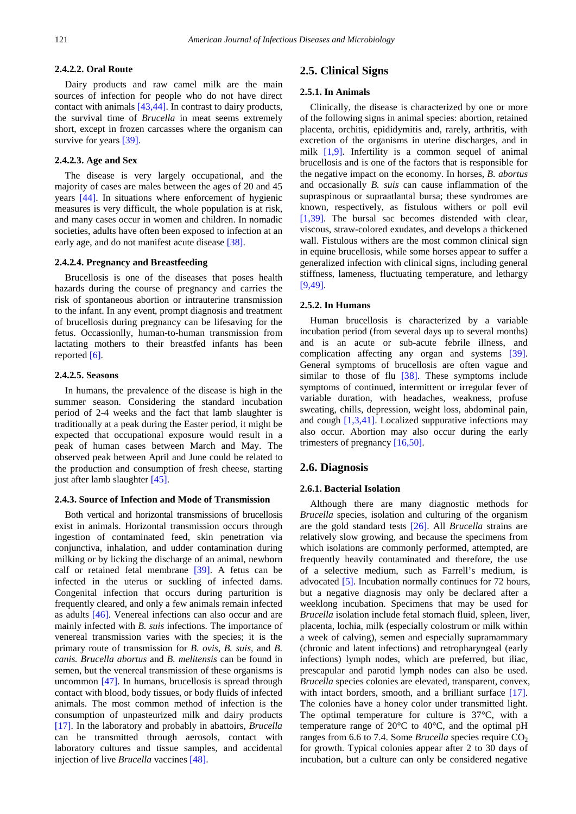#### **2.4.2***.***2. Oral Route**

Dairy products and raw camel milk are the main sources of infection for people who do not have direct contact with animals [\[43,44\].](#page-7-34) In contrast to dairy products, the survival time of *Brucella* in meat seems extremely short, except in frozen carcasses where the organism can survive for years [\[39\].](#page-7-32)

#### **2.4.2***.***3. Age and Sex**

The disease is very largely occupational, and the majority of cases are males between the ages of 20 and 45 years [\[44\].](#page-7-35) In situations where enforcement of hygienic measures is very difficult, the whole population is at risk, and many cases occur in women and children. In nomadic societies, adults have often been exposed to infection at an early age, and do not manifest acute disease [\[38\].](#page-7-31)

#### **2.4.2***.***4. Pregnancy and Breastfeeding**

Brucellosis is one of the diseases that poses health hazards during the course of pregnancy and carries the risk of spontaneous abortion or intrauterine transmission to the infant. In any event, prompt diagnosis and treatment of brucellosis during pregnancy can be lifesaving for the fetus. Occassionlly, human-to-human transmission from lactating mothers to their breastfed infants has been reporte[d \[6\].](#page-7-36)

#### **2.4.2***.***5. Seasons**

In humans, the prevalence of the disease is high in the summer season. Considering the standard incubation period of 2-4 weeks and the fact that lamb slaughter is traditionally at a peak during the Easter period, it might be expected that occupational exposure would result in a peak of human cases between March and May. The observed peak between April and June could be related to the production and consumption of fresh cheese, starting just after lamb slaughter [\[45\].](#page-7-37)

#### **2.4.3. Source of Infection and Mode of Transmission**

Both vertical and horizontal transmissions of brucellosis exist in animals. Horizontal transmission occurs through ingestion of contaminated feed, skin penetration via conjunctiva, inhalation, and udder contamination during milking or by licking the discharge of an animal, newborn calf or retained fetal membrane [\[39\].](#page-7-32) A fetus can be infected in the uterus or suckling of infected dams. Congenital infection that occurs during parturition is frequently cleared, and only a few animals remain infected as adults [\[46\].](#page-7-38) Venereal infections can also occur and are mainly infected with *B. suis* infections. The importance of venereal transmission varies with the species; it is the primary route of transmission for *B. ovis*, *B. suis,* and *B. canis. Brucella abortus* and *B. melitensis* can be found in semen, but the venereal transmission of these organisms is uncommon [\[47\].](#page-7-39) In humans, brucellosis is spread through contact with blood, body tissues, or body fluids of infected animals. The most common method of infection is the consumption of unpasteurized milk and dairy products [\[17\].](#page-7-11) In the laboratory and probably in abattoirs, *Brucella* can be transmitted through aerosols, contact with laboratory cultures and tissue samples, and accidental injection of live *Brucella* vaccines [\[48\].](#page-7-40)

# **2.5. Clinical Signs**

#### **2.5.1. In Animals**

Clinically, the disease is characterized by one or more of the following signs in animal species: abortion, retained placenta, orchitis, epididymitis and, rarely, arthritis, with excretion of the organisms in uterine discharges, and in milk [\[1,9\].](#page-7-0) Infertility is a common sequel of animal brucellosis and is one of the factors that is responsible for the negative impact on the economy. In horses, *B. abortus*  and occasionally *B. suis* can cause inflammation of the supraspinous or supraatlantal bursa; these syndromes are known, respectively, as fistulous withers or poll evil [\[1,39\].](#page-7-0) The bursal sac becomes distended with clear, viscous, straw-colored exudates, and develops a thickened wall. Fistulous withers are the most common clinical sign in equine brucellosis, while some horses appear to suffer a generalized infection with clinical signs, including general stiffness, lameness, fluctuating temperature, and lethargy [\[9,49\].](#page-7-5)

#### **2.5.2. In Humans**

Human brucellosis is characterized by a variable incubation period (from several days up to several months) and is an acute or sub-acute febrile illness, and complication affecting any organ and systems [\[39\].](#page-7-32) General symptoms of brucellosis are often vague and similar to those of flu [\[38\].](#page-7-31) These symptoms include symptoms of continued, intermittent or irregular fever of variable duration, with headaches, weakness, profuse sweating, chills, depression, weight loss, abdominal pain, and cough [\[1,3,41\].](#page-7-0) Localized suppurative infections may also occur. Abortion may also occur during the early trimesters of pregnancy [\[16,50\].](#page-7-10)

#### **2.6. Diagnosis**

#### **2.6.1. Bacterial Isolation**

Although there are many diagnostic methods for *Brucella* species, isolation and culturing of the organism are the gold standard tests [\[26\].](#page-7-19) All *Brucella* strains are relatively slow growing, and because the specimens from which isolations are commonly performed, attempted, are frequently heavily contaminated and therefore, the use of a selective medium, such as Farrell's medium, is advocated [\[5\].](#page-7-2) Incubation normally continues for 72 hours, but a negative diagnosis may only be declared after a weeklong incubation. Specimens that may be used for *Brucella* isolation include fetal stomach fluid, spleen, liver, placenta, lochia, milk (especially colostrum or milk within a week of calving), semen and especially supramammary (chronic and latent infections) and retropharyngeal (early infections) lymph nodes, which are preferred, but iliac, prescapular and parotid lymph nodes can also be used. *Brucella* species colonies are elevated, transparent, convex, with intact borders, smooth, and a brilliant surface [\[17\].](#page-7-11) The colonies have a honey color under transmitted light. The optimal temperature for culture is  $37^{\circ}$ C, with a temperature range of 20°C to 40°C, and the optimal pH ranges from 6.6 to 7.4. Some *Brucella* species require  $CO<sub>2</sub>$ for growth. Typical colonies appear after 2 to 30 days of incubation, but a culture can only be considered negative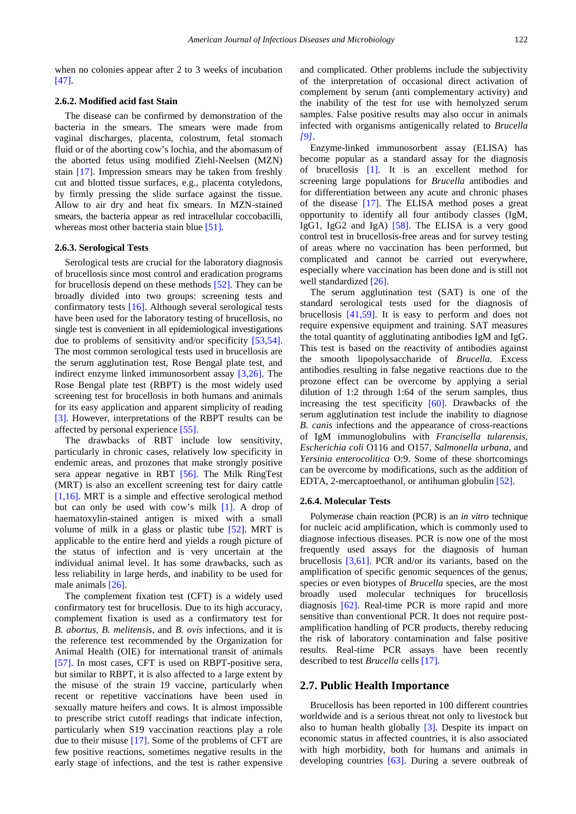when no colonies appear after 2 to 3 weeks of incubation [\[47\].](#page-7-39)

#### **2.6.2. Modified acid fast Stain**

The disease can be confirmed by demonstration of the bacteria in the smears. The smears were made from vaginal discharges, placenta, colostrum, fetal stomach fluid or of the aborting cow's lochia, and the abomasum of the aborted fetus using modified Ziehl-Neelsen (MZN) stain [\[17\].](#page-7-11) Impression smears may be taken from freshly cut and blotted tissue surfaces, e.g., placenta cotyledons, by firmly pressing the slide surface against the tissue. Allow to air dry and heat fix smears. In MZN-stained smears, the bacteria appear as red intracellular coccobacilli, whereas most other bacteria stain blue [\[51\].](#page-8-0)

#### **2.6.3. Serological Tests**

Serological tests are crucial for the laboratory diagnosis of brucellosis since most control and eradication programs for brucellosis depend on these methods [\[52\].](#page-8-1) They can be broadly divided into two groups: screening tests and confirmatory tests [\[16\].](#page-7-10) Although several serological tests have been used for the laboratory testing of brucellosis, no single test is convenient in all epidemiological investigations due to problems of sensitivity and/or specificity [\[53,54\].](#page-8-2) The most common serological tests used in brucellosis are the serum agglutination test, Rose Bengal plate test, and indirect enzyme linked immunosorbent assay [\[3,26\].](#page-7-27) The Rose Bengal plate test (RBPT) is the most widely used screening test for brucellosis in both humans and animals for its easy application and apparent simplicity of reading [\[3\].](#page-7-27) However, interpretations of the RBPT results can be affected by personal experience [\[55\].](#page-8-3)

The drawbacks of RBT include low sensitivity, particularly in chronic cases, relatively low specificity in endemic areas, and prozones that make strongly positive sera appear negative in RBT [\[56\].](#page-8-4) The Milk RingTest (MRT) is also an excellent screening test for dairy cattle [\[1,16\].](#page-7-0) MRT is a simple and effective serological method but can only be used with cow's milk [\[1\].](#page-7-0) A drop of haematoxylin-stained antigen is mixed with a small volume of milk in a glass or plastic tube [\[52\].](#page-8-1) MRT is applicable to the entire herd and yields a rough picture of the status of infection and is very uncertain at the individual animal level. It has some drawbacks, such as less reliability in large herds, and inability to be used for male animals [\[26\].](#page-7-19)

The complement fixation test (CFT) is a widely used confirmatory test for brucellosis. Due to its high accuracy, complement fixation is used as a confirmatory test for *B. abortus, B. melitensis*, and *B. ovis* infections, and it is the reference test recommended by the Organization for Animal Health (OIE) for international transit of animals [\[57\].](#page-8-5) In most cases, CFT is used on RBPT-positive sera, but similar to RBPT, it is also affected to a large extent by the misuse of the strain 19 vaccine, particularly when recent or repetitive vaccinations have been used in sexually mature heifers and cows. It is almost impossible to prescribe strict cutoff readings that indicate infection, particularly when S19 vaccination reactions play a role due to their misuse [\[17\].](#page-7-11) Some of the problems of CFT are few positive reactions, sometimes negative results in the early stage of infections, and the test is rather expensive and complicated. Other problems include the subjectivity of the interpretation of occasional direct activation of complement by serum (anti complementary activity) and the inability of the test for use with hemolyzed serum samples. False positive results may also occur in animals infected with organisms antigenically related to *Brucella [\[9\]](#page-7-5)*.

Enzyme-linked immunosorbent assay (ELISA) has become popular as a standard assay for the diagnosis of brucellosis [\[1\].](#page-7-0) It is an excellent method for screening large populations for *Brucella* antibodies and for differentiation between any acute and chronic phases of the disease [\[17\].](#page-7-11) The ELISA method poses a great opportunity to identify all four antibody classes (IgM, IgG1, IgG2 and IgA) [\[58\].](#page-8-6) The ELISA is a very good control test in brucellosis-free areas and for survey testing of areas where no vaccination has been performed, but complicated and cannot be carried out everywhere, especially where vaccination has been done and is still not well standardized [\[26\].](#page-7-19)

The serum agglutination test (SAT) is one of the standard serological tests used for the diagnosis of brucellosis [\[41,59\].](#page-7-41) It is easy to perform and does not require expensive equipment and training. SAT measures the total quantity of agglutinating antibodies IgM and IgG. This test is based on the reactivity of antibodies against the smooth lipopolysaccharide of *Brucella*. Excess antibodies resulting in false negative reactions due to the prozone effect can be overcome by applying a serial dilution of 1:2 through 1:64 of the serum samples, thus increasing the test specificity [\[60\].](#page-8-7) Drawbacks of the serum agglutination test include the inability to diagnose *B. canis* infections and the appearance of cross-reactions of IgM immunoglobulins with *Francisella tularensis*, *Escherichia coli* O116 and O157, *Salmonella urbana*, and *Yersinia enterocolitica* O:9. Some of these shortcomings can be overcome by modifications, such as the addition of EDTA, 2-mercaptoethanol, or antihuman globulin [\[52\].](#page-8-1)

#### **2.6.4. Molecular Tests**

Polymerase chain reaction (PCR) is an *in vitro* technique for nucleic acid amplification, which is commonly used to diagnose infectious diseases. PCR is now one of the most frequently used assays for the diagnosis of human brucellosis  $[3,61]$ . PCR and/or its variants, based on the amplification of specific genomic sequences of the genus, species or even biotypes of *Brucella* species, are the most broadly used molecular techniques for brucellosis diagnosis [\[62\].](#page-8-8) Real-time PCR is more rapid and more sensitive than conventional PCR. It does not require postamplification handling of PCR products, thereby reducing the risk of laboratory contamination and false positive results. Real-time PCR assays have been recently described to test *Brucella* cell[s \[17\].](#page-7-11)

#### **2.7. Public Health Importance**

Brucellosis has been reported in 100 different countries worldwide and is a serious threat not only to livestock but also to human health globally [\[3\].](#page-7-27) Despite its impact on economic status in affected countries, it is also associated with high morbidity, both for humans and animals in developing countries [\[63\].](#page-8-9) During a severe outbreak of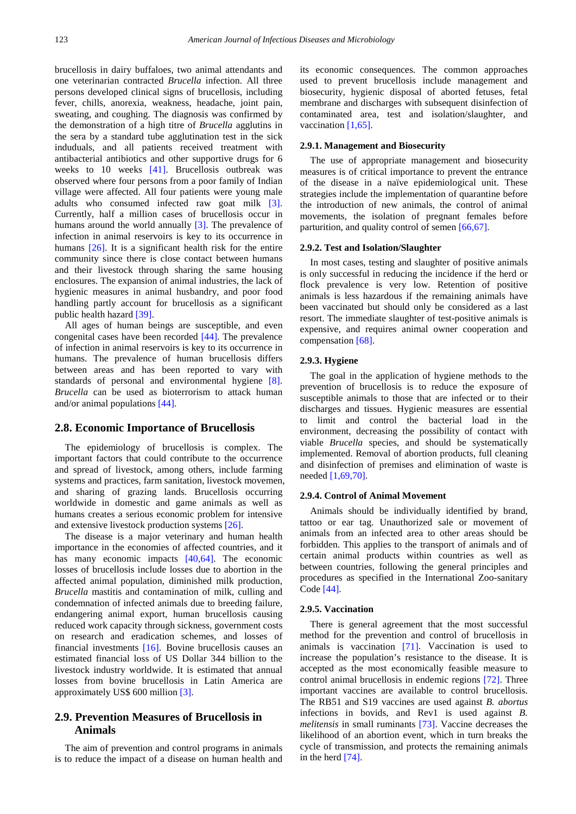brucellosis in dairy buffaloes, two animal attendants and one veterinarian contracted *Brucella* infection. All three persons developed clinical signs of brucellosis, including fever, chills, anorexia, weakness, headache, joint pain, sweating, and coughing. The diagnosis was confirmed by the demonstration of a high titre of *Brucella* agglutins in the sera by a standard tube agglutination test in the sick induduals, and all patients received treatment with antibacterial antibiotics and other supportive drugs for 6 weeks to 10 weeks [\[41\].](#page-7-41) Brucellosis outbreak was observed where four persons from a poor family of Indian village were affected. All four patients were young male adults who consumed infected raw goat milk [\[3\].](#page-7-27) Currently, half a million cases of brucellosis occur in humans around the world annually [\[3\].](#page-7-27) The prevalence of infection in animal reservoirs is key to its occurrence in humans [\[26\].](#page-7-19) It is a significant health risk for the entire community since there is close contact between humans and their livestock through sharing the same housing enclosures. The expansion of animal industries, the lack of hygienic measures in animal husbandry, and poor food handling partly account for brucellosis as a significant public health hazard [\[39\].](#page-7-32)

All ages of human beings are susceptible, and even congenital cases have been recorded [\[44\].](#page-7-35) The prevalence of infection in animal reservoirs is key to its occurrence in humans. The prevalence of human brucellosis differs between areas and has been reported to vary with standards of personal and environmental hygiene [\[8\].](#page-7-4) *Brucella* can be used as bioterrorism to attack human and/or animal populations [\[44\].](#page-7-35)

#### **2.8. Economic Importance of Brucellosis**

The epidemiology of brucellosis is complex. The important factors that could contribute to the occurrence and spread of livestock, among others, include farming systems and practices, farm sanitation, livestock movemen, and sharing of grazing lands. Brucellosis occurring worldwide in domestic and game animals as well as humans creates a serious economic problem for intensive and extensive livestock production systems [\[26\].](#page-7-19)

The disease is a major veterinary and human health importance in the economies of affected countries, and it has many economic impacts [\[40,64\].](#page-7-33) The economic losses of brucellosis include losses due to abortion in the affected animal population, diminished milk production, *Brucella* mastitis and contamination of milk, culling and condemnation of infected animals due to breeding failure, endangering animal export, human brucellosis causing reduced work capacity through sickness, government costs on research and eradication schemes, and losses of financial investments [\[16\].](#page-7-10) Bovine brucellosis causes an estimated financial loss of US Dollar 344 billion to the livestock industry worldwide. It is estimated that annual losses from bovine brucellosis in Latin America are approximately US\$ 600 million [\[3\].](#page-7-27)

# **2.9. Prevention Measures of Brucellosis in Animals**

The aim of prevention and control programs in animals is to reduce the impact of a disease on human health and its economic consequences. The common approaches used to prevent brucellosis include management and biosecurity, hygienic disposal of aborted fetuses, fetal membrane and discharges with subsequent disinfection of contaminated area, test and isolation/slaughter, and vaccination [\[1,65\].](#page-7-0)

#### **2.9.1. Management and Biosecurity**

The use of appropriate management and biosecurity measures is of critical importance to prevent the entrance of the disease in a naïve epidemiological unit. These strategies include the implementation of quarantine before the introduction of new animals, the control of animal movements, the isolation of pregnant females before parturition, and quality control of semen [\[66,67\].](#page-8-10)

#### **2.9.2. Test and Isolation/Slaughter**

In most cases, testing and slaughter of positive animals is only successful in reducing the incidence if the herd or flock prevalence is very low. Retention of positive animals is less hazardous if the remaining animals have been vaccinated but should only be considered as a last resort. The immediate slaughter of test-positive animals is expensive, and requires animal owner cooperation and compensation [\[68\].](#page-8-11)

#### **2.9.3. Hygiene**

The goal in the application of hygiene methods to the prevention of brucellosis is to reduce the exposure of susceptible animals to those that are infected or to their discharges and tissues. Hygienic measures are essential to limit and control the bacterial load in the environment, decreasing the possibility of contact with viable *Brucella* species, and should be systematically implemented. Removal of abortion products, full cleaning and disinfection of premises and elimination of waste is needed [\[1,69,70\].](#page-7-0)

#### **2.9.4. Control of Animal Movement**

Animals should be individually identified by brand, tattoo or ear tag. Unauthorized sale or movement of animals from an infected area to other areas should be forbidden. This applies to the transport of animals and of certain animal products within countries as well as between countries, following the general principles and procedures as specified in the International Zoo-sanitary Code [\[44\].](#page-7-35)

#### **2.9.5. Vaccination**

There is general agreement that the most successful method for the prevention and control of brucellosis in animals is vaccination [\[71\].](#page-8-12) Vaccination is used to increase the population's resistance to the disease. It is accepted as the most economically feasible measure to control animal brucellosis in endemic regions [\[72\].](#page-8-13) Three important vaccines are available to control brucellosis. The RB51 and S19 vaccines are used against *B. abortus* infections in bovids, and Rev1 is used against *B. melitensis* in small ruminants [\[73\].](#page-8-14) Vaccine decreases the likelihood of an abortion event, which in turn breaks the cycle of transmission, and protects the remaining animals in the herd [\[74\].](#page-8-15)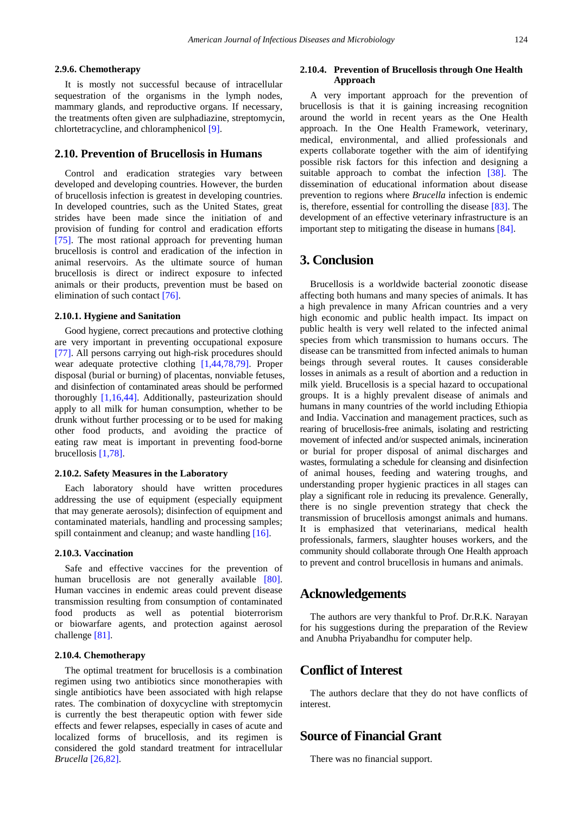#### **2.9.6. Chemotherapy**

It is mostly not successful because of intracellular sequestration of the organisms in the lymph nodes, mammary glands, and reproductive organs. If necessary, the treatments often given are sulphadiazine, streptomycin, chlortetracycline, and chloramphenicol [\[9\].](#page-7-5)

#### **2.10. Prevention of Brucellosis in Humans**

Control and eradication strategies vary between developed and developing countries. However, the burden of brucellosis infection is greatest in developing countries. In developed countries, such as the United States, great strides have been made since the initiation of and provision of funding for control and eradication efforts [\[75\].](#page-8-16) The most rational approach for preventing human brucellosis is control and eradication of the infection in animal reservoirs. As the ultimate source of human brucellosis is direct or indirect exposure to infected animals or their products, prevention must be based on elimination of such contact [\[76\].](#page-8-17)

#### **2.10.1. Hygiene and Sanitation**

Good hygiene, correct precautions and protective clothing are very important in preventing occupational exposure [\[77\].](#page-8-18) All persons carrying out high-risk procedures should wear adequate protective clothing [\[1,44,78,79\].](#page-7-0) Proper disposal (burial or burning) of placentas, nonviable fetuses, and disinfection of contaminated areas should be performed thoroughly [\[1,16,44\].](#page-7-0) Additionally, pasteurization should apply to all milk for human consumption, whether to be drunk without further processing or to be used for making other food products, and avoiding the practice of eating raw meat is important in preventing food-borne brucellosis [\[1,78\].](#page-7-0)

#### **2.10.2. Safety Measures in the Laboratory**

Each laboratory should have written procedures addressing the use of equipment (especially equipment that may generate aerosols); disinfection of equipment and contaminated materials, handling and processing samples; spill containment and cleanup; and waste handling [\[16\].](#page-7-10)

#### **2.10.3. Vaccination**

Safe and effective vaccines for the prevention of human brucellosis are not generally available [\[80\].](#page-8-19) Human vaccines in endemic areas could prevent disease transmission resulting from consumption of contaminated food products as well as potential bioterrorism or biowarfare agents, and protection against aerosol challenge [\[81\].](#page-8-20)

#### **2.10.4. Chemotherapy**

The optimal treatment for brucellosis is a combination regimen using two antibiotics since monotherapies with single antibiotics have been associated with high relapse rates. The combination of doxycycline with streptomycin is currently the best therapeutic option with fewer side effects and fewer relapses, especially in cases of acute and localized forms of brucellosis, and its regimen is considered the gold standard treatment for intracellular *Brucella* [\[26,82\].](#page-7-19)

#### **2.10.4. Prevention of Brucellosis through One Health Approach**

A very important approach for the prevention of brucellosis is that it is gaining increasing recognition around the world in recent years as the One Health approach. In the One Health Framework, veterinary, medical, environmental, and allied professionals and experts collaborate together with the aim of identifying possible risk factors for this infection and designing a suitable approach to combat the infection [\[38\].](#page-7-31) The dissemination of educational information about disease prevention to regions where *Brucella* infection is endemic is, therefore, essential for controlling the disease [\[83\].](#page-8-21) The development of an effective veterinary infrastructure is an important step to mitigating the disease in humans [\[84\].](#page-8-22)

# **3. Conclusion**

Brucellosis is a worldwide bacterial zoonotic disease affecting both humans and many species of animals. It has a high prevalence in many African countries and a very high economic and public health impact. Its impact on public health is very well related to the infected animal species from which transmission to humans occurs. The disease can be transmitted from infected animals to human beings through several routes. It causes considerable losses in animals as a result of abortion and a reduction in milk yield. Brucellosis is a special hazard to occupational groups. It is a highly prevalent disease of animals and humans in many countries of the world including Ethiopia and India. Vaccination and management practices, such as rearing of brucellosis-free animals, isolating and restricting movement of infected and/or suspected animals, incineration or burial for proper disposal of animal discharges and wastes, formulating a schedule for cleansing and disinfection of animal houses, feeding and watering troughs, and understanding proper hygienic practices in all stages can play a significant role in reducing its prevalence. Generally, there is no single prevention strategy that check the transmission of brucellosis amongst animals and humans. It is emphasized that veterinarians, medical health professionals, farmers, slaughter houses workers, and the community should collaborate through One Health approach to prevent and control brucellosis in humans and animals.

# **Acknowledgements**

The authors are very thankful to Prof. Dr.R.K. Narayan for his suggestions during the preparation of the Review and Anubha Priyabandhu for computer help.

# **Conflict of Interest**

The authors declare that they do not have conflicts of interest.

# **Source of Financial Grant**

There was no financial support.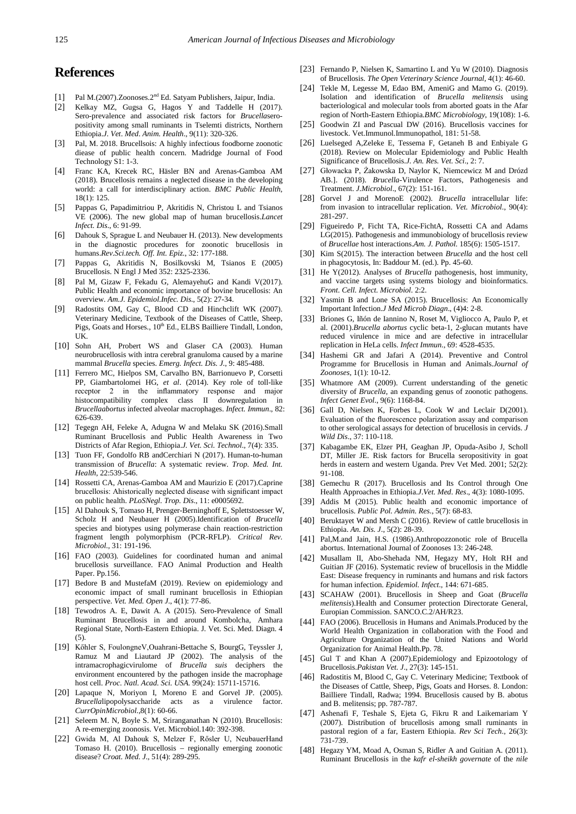# **References**

- <span id="page-7-0"></span>[1] Pal M.(2007).Zoonoses.2nd Ed. Satyam Publishers, Jaipur, India.
- [2] Kelkay MZ, Gugsa G, Hagos Y and Taddelle H (2017). Sero-prevalence and associated risk factors for *Brucella*seropositivity among small ruminants in Tselemti districts, Northern Ethiopia.*J*. *Vet*. *Med*. *Anim. Health*., 9(11): 320-326.
- <span id="page-7-27"></span>[3] Pal, M. 2018. Brucellsois: A highly infectious foodborne zoonotic diease of public health concern. Madridge Journal of Food Technology S1: 1-3.
- <span id="page-7-1"></span>[4] Franc KA, Krecek RC, Häsler BN and Arenas-Gamboa AM (2018). Brucellosis remains a neglected disease in the developing world: a call for interdisciplinary action. *BMC Public Health*, 18(1): 125.
- <span id="page-7-2"></span>[5] Pappas G, Papadimitriou P, Akritidis N, Christou L and Tsianos VE (2006). The new global map of human brucellosis.*Lancet Infect. Dis*., 6: 91-99.
- <span id="page-7-36"></span>[6] Dahouk S, Sprague L and Neubauer H. (2013). New developments in the diagnostic procedures for zoonotic brucellosis in humans.*Rev.Sci.tech. Off. Int. Epiz*., 32: 177-188.
- <span id="page-7-3"></span>[7] Pappas G, Akritidis N, Bosilkovski M, Tsianos E (2005) Brucellosis. N Engl J Med 352: 2325-2336.
- <span id="page-7-4"></span>[8] Pal M, Gizaw F, Fekadu G, AlemayehuG and Kandi V(2017). Public Health and economic importance of bovine brucellosis: An overview. *Am.J. Epidemiol.Infec. Dis*., 5(2): 27-34.
- <span id="page-7-5"></span>[9] Radostits OM, Gay C, Blood CD and Hinchclift WK (2007). Veterinary Medicine, Textbook of the Diseases of Cattle, Sheep, Pigs, Goats and Horses., 10<sup>th</sup> Ed., ELBS Bailliere Tindall, London, UK.
- [10] Sohn AH, Probert WS and Glaser CA (2003). Human neurobrucellosis with intra cerebral granuloma caused by a marine mammal *Brucella* species. *Emerg. Infect. Dis. J*., 9: 485-488.
- <span id="page-7-6"></span>[11] Ferrero MC, Hielpos SM, Carvalho BN, Barrionuevo P, Corsetti PP, Giambartolomei HG, *et al*. (2014). Key role of toll-like receptor 2 in the inflammatory response and major histocompatibility complex class II downregulation in *Brucellaabortus* infected alveolar macrophages. *Infect. Immun*., 82: 626-639.
- [12] Tegegn AH, Feleke A, Adugna W and Melaku SK (2016).Small Ruminant Brucellosis and Public Health Awareness in Two Districts of Afar Region, Ethiopia.*J. Vet. Sci. Technol*., 7(4): 335.
- <span id="page-7-7"></span>[13] Tuon FF, Gondolfo RB andCerchiari N (2017). Human-to-human transmission of *Brucella*: A systematic review. *Trop. Med. Int. Health*, 22:539-546.
- <span id="page-7-8"></span>[14] Rossetti CA, Arenas-Gamboa AM and Maurizio E (2017).Caprine brucellosis: Ahistorically neglected disease with significant impact on public health. *PLoSNegl. Trop. Dis*., 11: e0005692.
- <span id="page-7-9"></span>[15] Al Dahouk S, Tomaso H, Prenger-Berninghoff E, Splettstoesser W, Scholz H and Neubauer H (2005).Identification of *Brucella* species and biotypes using polymerase chain reaction-restriction fragment length polymorphism (PCR-RFLP). *Critical Rev. Microbiol*., 31: 191-196.
- <span id="page-7-10"></span>[16] FAO (2003). Guidelines for coordinated human and animal brucellosis surveillance. FAO Animal Production and Health Paper. Pp.156.
- <span id="page-7-11"></span>[17] Bedore B and MustefaM (2019). Review on epidemiology and economic impact of small ruminant brucellosis in Ethiopian perspective. *Vet. Med. Open J*., 4(1): 77-86.
- <span id="page-7-12"></span>[18] Tewodros A. E, Dawit A. A (2015). Sero-Prevalence of Small Ruminant Brucellosis in and around Kombolcha, Amhara Regional State, North-Eastern Ethiopia. J. Vet. Sci. Med. Diagn. 4  $(5)$ .
- <span id="page-7-13"></span>[19] Kőhler S, FoulongneV,Ouahrani-Bettache S, BourgG, Teyssler J, Ramuz M and Liautard JP (2002). The analysis of the intramacrophagicvirulome of *Brucella suis* deciphers the environment encountered by the pathogen inside the macrophage host cell. *Proc. Natl. Acad. Sci. USA.* 99(24): 15711*-*15716.
- <span id="page-7-14"></span>[20] Lapaque N, Moriyon I, Moreno E and Gorvel JP. (2005). *Brucella*lipopolysaccharide acts as a virulence factor. *CurrOpinMicrobiol*.,8(1): 60*-*66.
- [21] Seleem M. N, Boyle S. M, Sriranganathan N (2010). Brucellosis: A re-emerging zoonosis. Vet. Microbiol.140: 392-398.
- <span id="page-7-15"></span>[22] Gwida M, Al Dahouk S, Melzer F, Rősler U, NeubauerHand Tomaso H. (2010). Brucellosis – regionally emerging zoonotic disease? *Croat. Med. J*., 51(4): 289*-*295.
- <span id="page-7-16"></span>[23] Fernando P, Nielsen K, Samartino L and Yu W (2010). Diagnosis of Brucellosis. *The Open Veterinary Science Journal*, 4(1): 46-60.
- <span id="page-7-17"></span>[24] Tekle M, Legesse M, Edao BM, AmeniG and Mamo G. (2019). Isolation and identification of *Brucella melitensis* using bacteriological and molecular tools from aborted goats in the Afar region of North-Eastern Ethiopia.*BMC Microbiology*, 19(108): 1-6.
- <span id="page-7-18"></span>[25] Goodwin ZI and Pascual DW (2016). Brucellosis vaccines for livestock. Vet.Immunol.Immunopathol, 181: 51-58.
- <span id="page-7-19"></span>[26] Luelseged A,Zeleke E, Tessema F, Getaneh B and Enbiyale G (2018). Review on Molecular Epidemiology and Public Health Significance of Brucellosis.*J. An. Res. Vet. Sci*., 2: 7.
- <span id="page-7-20"></span>[27] Głowacka P, Żakowska D, Naylor K, Niemcewicz M and Drózd AB.]. (2018). *Brucella*-Virulence Factors, Pathogenesis and Treatment. *J.Microbiol*., 67(2): 151-161.
- <span id="page-7-21"></span>[28] Gorvel J and MorenoE (2002). *Brucella* intracellular life: from invasion to intracellular replication. *Vet. Microbiol*., 90(4): 281*-*297.
- [29] Figueiredo P, Ficht TA, Rice-FichtA, Rossetti CA and Adams LG(2015). Pathogenesis and immunobiology of brucellosis review of *Brucellae* host interactions.*Am. J. Pathol.* 185(6): 1505*-*1517.
- <span id="page-7-22"></span>[30] Kim S(2015). The interaction between *Brucella* and the host cell in phagocytosis, In: Baddour M. (ed.). Pp. 45*-*60.
- <span id="page-7-23"></span>[31] He Y(2012). Analyses of *Brucella* pathogenesis, host immunity, and vaccine targets using systems biology and bioinformatics. *Front. Cell. Infect. Microbiol.* 2:2.
- <span id="page-7-24"></span>[32] Yasmin B and Lone SA (2015). Brucellosis: An Economically Important Infection.*J Med Microb Diagn*., (4)4: 2-8.
- <span id="page-7-25"></span>[33] Briones G, Iñón de Iannino N, Roset M, Vigliocco A, Paulo P, et al. (2001).*Brucella abortus* cyclic beta-1, 2-glucan mutants have reduced virulence in mice and are defective in intracellular replication in HeLa cells. *Infect Immun*., 69: 4528-4535.
- <span id="page-7-26"></span>[34] Hashemi GR and Jafari A (2014). Preventive and Control Programme for Brucellosis in Human and Animals.*Journal of Zoonoses*, 1(1): 10-12.
- <span id="page-7-28"></span>[35] Whatmore AM (2009). Current understanding of the genetic diversity of *Brucella*, an expanding genus of zoonotic pathogens. *Infect Genet Evol*., 9(6): 1168-84.
- <span id="page-7-29"></span>[36] Gall D, Nielsen K, Forbes L, Cook W and Leclair D(2001). Evaluation of the fluorescence polarization assay and comparison to other serological assays for detection of brucellosis in cervids. *J Wild Dis*., 37: 110-118.
- <span id="page-7-30"></span>[37] Kabagambe EK, Elzer PH, Geaghan JP, Opuda-Asibo J, Scholl DT, Miller JE. Risk factors for Brucella seropositivity in goat herds in eastern and western Uganda. Prev Vet Med. 2001; 52(2): 91-108.
- <span id="page-7-31"></span>[38] Gemechu R (2017). Brucellosis and Its Control through One Health Approaches in Ethiopia.*J*.*Vet. Med*. *Res*., 4(3): 1080-1095.
- <span id="page-7-32"></span>[39] Addis M (2015). Public health and economic importance of brucellosis. *Public Pol. Admin. Res*., 5(7): 68-83.
- <span id="page-7-33"></span>[40] Beruktayet W and Mersh C (2016). Review of cattle brucellosis in Ethiopia. *An. Dis. J*., 5(2): 28-39.
- <span id="page-7-41"></span>[41] Pal,M.and Jain, H.S. (1986).Anthropozzonotic role of Brucella abortus. International Journal of Zoonoses 13: 246-248.
- [42] Musallam II, Abo-Shehada NM, Hegazy MY, Holt RH and Guitian JF (2016). Systematic review of brucellosis in the Middle East: Disease frequency in ruminants and humans and risk factors for human infection. *Epidemiol. Infect*., 144: 671-685.
- <span id="page-7-34"></span>[43] SCAHAW (2001). Brucellosis in Sheep and Goat (*Brucella melitensis*).Health and Consumer protection Directorate General, Europian Commission. SANCO.C.2/AH/R23.
- <span id="page-7-35"></span>[44] FAO (2006). Brucellosis in Humans and Animals. Produced by the World Health Organization in collaboration with the Food and Agriculture Organization of the United Nations and World Organization for Animal Health.Pp. 78.
- <span id="page-7-37"></span>[45] Gul T and Khan A (2007).Epidemiology and Epizootology of Brucellosis.*Pakistan Vet. J*., 27(3): 145-151.
- <span id="page-7-38"></span>[46] Radostitis M, Blood C, Gay C. Veterinary Medicine; Textbook of the Diseases of Cattle, Sheep, Pigs, Goats and Horses. 8. London: Bailliere Tindall, Radwa; 1994. Brucellosis caused by B. abotus and B. melitensis; pp. 787-787.
- <span id="page-7-39"></span>[47] Ashenafi F, Teshale S, Ejeta G, Fikru R and Laikemariam Y (2007). Distribution of brucellosis among small ruminants in pastoral region of a far, Eastern Ethiopia. *Rev Sci Tech*., 26(3): 731-739.
- <span id="page-7-40"></span>[48] Hegazy YM, Moad A, Osman S, Ridler A and Guitian A. (2011). Ruminant Brucellosis in the *kafr el-sheikh governate* of the *nile*